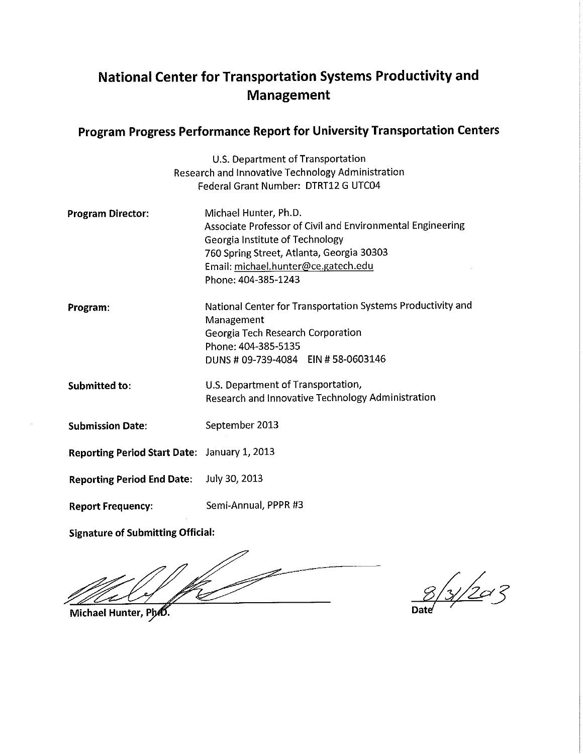# **National Center for Transportation Systems Productivity and Management**

## Program Progress Performance Report for University Transportation Centers

|                                                   | U.S. Department of Transportation                                            |
|---------------------------------------------------|------------------------------------------------------------------------------|
| Research and Innovative Technology Administration |                                                                              |
|                                                   | Federal Grant Number: DTRT12 G UTC04                                         |
| <b>Program Director:</b>                          | Michael Hunter, Ph.D.                                                        |
|                                                   | Associate Professor of Civil and Environmental Engineering                   |
|                                                   | Georgia Institute of Technology<br>760 Spring Street, Atlanta, Georgia 30303 |
|                                                   | Email: michael.hunter@ce.gatech.edu                                          |
|                                                   | Phone: 404-385-1243                                                          |
| Program:                                          | National Center for Transportation Systems Productivity and                  |
|                                                   | Management                                                                   |
|                                                   | Georgia Tech Research Corporation                                            |
|                                                   | Phone: 404-385-5135<br>DUNS # 09-739-4084 EIN # 58-0603146                   |
|                                                   |                                                                              |
| Submitted to:                                     | U.S. Department of Transportation,                                           |
|                                                   | Research and Innovative Technology Administration                            |
| <b>Submission Date:</b>                           | September 2013                                                               |
| Reporting Period Start Date: January 1, 2013      |                                                                              |
|                                                   |                                                                              |
| <b>Reporting Period End Date:</b>                 | July 30, 2013                                                                |
| <b>Report Frequency:</b>                          | Semi-Annual, PPPR #3                                                         |
|                                                   |                                                                              |

**Signature of Submitting Official:** 

 $\frac{8}{3}/20^{7}$ 

Michael Hunter, Pho.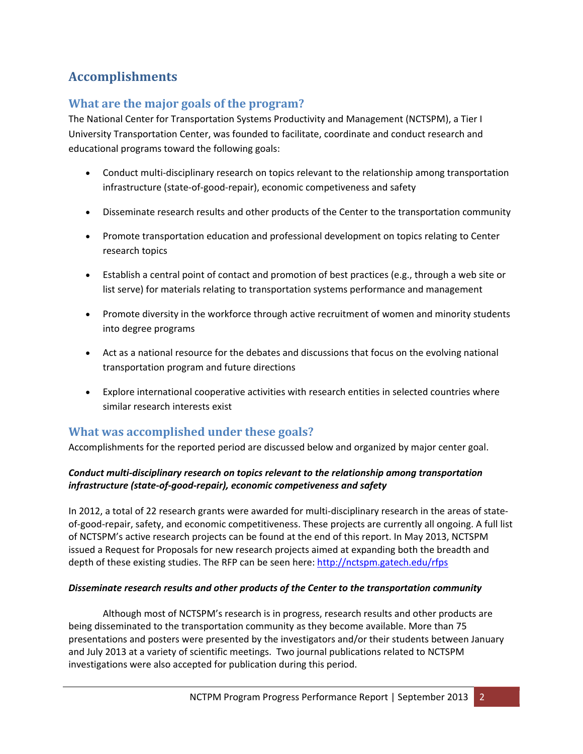# **Accomplishments**

## **What are the major goals of the program?**

The National Center for Transportation Systems Productivity and Management (NCTSPM), a Tier I University Transportation Center, was founded to facilitate, coordinate and conduct research and educational programs toward the following goals:

- Conduct multi-disciplinary research on topics relevant to the relationship among transportation infrastructure (state‐of‐good‐repair), economic competiveness and safety
- Disseminate research results and other products of the Center to the transportation community
- Promote transportation education and professional development on topics relating to Center research topics
- Establish a central point of contact and promotion of best practices (e.g., through a web site or list serve) for materials relating to transportation systems performance and management
- Promote diversity in the workforce through active recruitment of women and minority students into degree programs
- Act as a national resource for the debates and discussions that focus on the evolving national transportation program and future directions
- Explore international cooperative activities with research entities in selected countries where similar research interests exist

## **What was accomplished under these goals?**

Accomplishments for the reported period are discussed below and organized by major center goal.

#### *Conduct multi‐disciplinary research on topics relevant to the relationship among transportation infrastructure (state‐of‐good‐repair), economic competiveness and safety*

In 2012, a total of 22 research grants were awarded for multi-disciplinary research in the areas of stateof-good-repair, safety, and economic competitiveness. These projects are currently all ongoing. A full list of NCTSPM's active research projects can be found at the end of this report. In May 2013, NCTSPM issued a Request for Proposals for new research projects aimed at expanding both the breadth and depth of these existing studies. The RFP can be seen here: http://nctspm.gatech.edu/rfps

#### *Disseminate research results and other products of the Center to the transportation community*

Although most of NCTSPM's research is in progress, research results and other products are being disseminated to the transportation community as they become available. More than 75 presentations and posters were presented by the investigators and/or their students between January and July 2013 at a variety of scientific meetings. Two journal publications related to NCTSPM investigations were also accepted for publication during this period.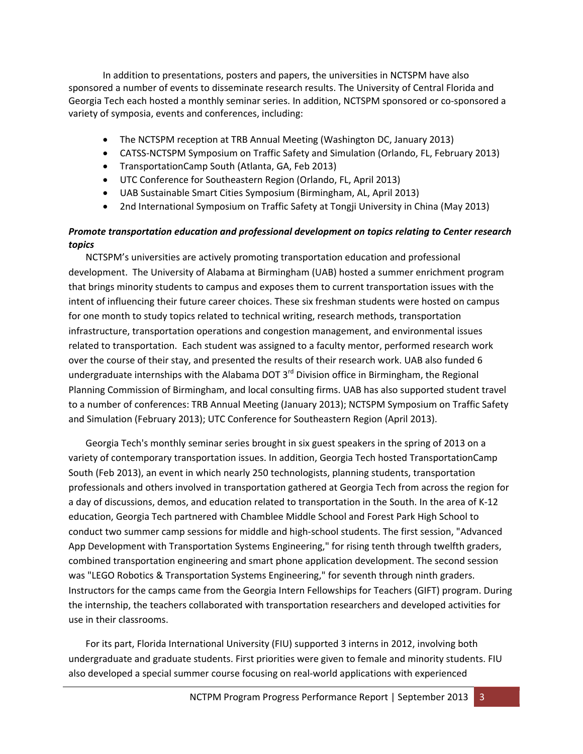In addition to presentations, posters and papers, the universities in NCTSPM have also sponsored a number of events to disseminate research results. The University of Central Florida and Georgia Tech each hosted a monthly seminar series. In addition, NCTSPM sponsored or co‐sponsored a variety of symposia, events and conferences, including:

- The NCTSPM reception at TRB Annual Meeting (Washington DC, January 2013)
- CATSS‐NCTSPM Symposium on Traffic Safety and Simulation (Orlando, FL, February 2013)
- TransportationCamp South (Atlanta, GA, Feb 2013)
- UTC Conference for Southeastern Region (Orlando, FL, April 2013)
- UAB Sustainable Smart Cities Symposium (Birmingham, AL, April 2013)
- 2nd International Symposium on Traffic Safety at Tongji University in China (May 2013)

### *Promote transportation education and professional development on topics relating to Center research topics*

NCTSPM's universities are actively promoting transportation education and professional development. The University of Alabama at Birmingham (UAB) hosted a summer enrichment program that brings minority students to campus and exposes them to current transportation issues with the intent of influencing their future career choices. These six freshman students were hosted on campus for one month to study topics related to technical writing, research methods, transportation infrastructure, transportation operations and congestion management, and environmental issues related to transportation. Each student was assigned to a faculty mentor, performed research work over the course of their stay, and presented the results of their research work. UAB also funded 6 undergraduate internships with the Alabama DOT  $3<sup>rd</sup>$  Division office in Birmingham, the Regional Planning Commission of Birmingham, and local consulting firms. UAB has also supported student travel to a number of conferences: TRB Annual Meeting (January 2013); NCTSPM Symposium on Traffic Safety and Simulation (February 2013); UTC Conference for Southeastern Region (April 2013).

Georgia Tech's monthly seminar series brought in six guest speakers in the spring of 2013 on a variety of contemporary transportation issues. In addition, Georgia Tech hosted TransportationCamp South (Feb 2013), an event in which nearly 250 technologists, planning students, transportation professionals and others involved in transportation gathered at Georgia Tech from across the region for a day of discussions, demos, and education related to transportation in the South. In the area of K‐12 education, Georgia Tech partnered with Chamblee Middle School and Forest Park High School to conduct two summer camp sessions for middle and high‐school students. The first session, "Advanced App Development with Transportation Systems Engineering," for rising tenth through twelfth graders, combined transportation engineering and smart phone application development. The second session was "LEGO Robotics & Transportation Systems Engineering," for seventh through ninth graders. Instructors for the camps came from the Georgia Intern Fellowships for Teachers (GIFT) program. During the internship, the teachers collaborated with transportation researchers and developed activities for use in their classrooms.

For its part, Florida International University (FIU) supported 3 interns in 2012, involving both undergraduate and graduate students. First priorities were given to female and minority students. FIU also developed a special summer course focusing on real‐world applications with experienced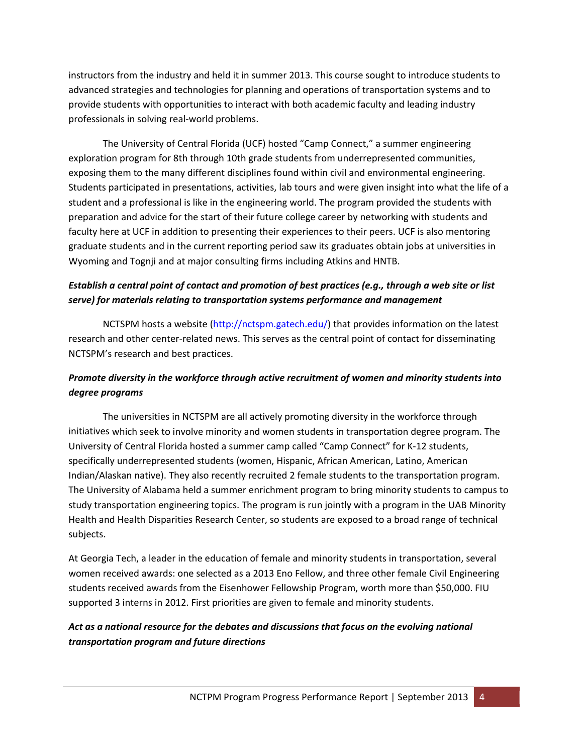instructors from the industry and held it in summer 2013. This course sought to introduce students to advanced strategies and technologies for planning and operations of transportation systems and to provide students with opportunities to interact with both academic faculty and leading industry professionals in solving real‐world problems.

The University of Central Florida (UCF) hosted "Camp Connect," a summer engineering exploration program for 8th through 10th grade students from underrepresented communities, exposing them to the many different disciplines found within civil and environmental engineering. Students participated in presentations, activities, lab tours and were given insight into what the life of a student and a professional is like in the engineering world. The program provided the students with preparation and advice for the start of their future college career by networking with students and faculty here at UCF in addition to presenting their experiences to their peers. UCF is also mentoring graduate students and in the current reporting period saw its graduates obtain jobs at universities in Wyoming and Tognji and at major consulting firms including Atkins and HNTB.

### Establish a central point of contact and promotion of best practices (e.g., through a web site or list *serve) for materials relating to transportation systems performance and management*

NCTSPM hosts a website (http://nctspm.gatech.edu/) that provides information on the latest research and other center‐related news. This serves as the central point of contact for disseminating NCTSPM's research and best practices.

### *Promote diversity in the workforce through active recruitment of women and minority students into degree programs*

The universities in NCTSPM are all actively promoting diversity in the workforce through initiatives which seek to involve minority and women students in transportation degree program. The University of Central Florida hosted a summer camp called "Camp Connect" for K‐12 students, specifically underrepresented students (women, Hispanic, African American, Latino, American Indian/Alaskan native). They also recently recruited 2 female students to the transportation program. The University of Alabama held a summer enrichment program to bring minority students to campus to study transportation engineering topics. The program is run jointly with a program in the UAB Minority Health and Health Disparities Research Center, so students are exposed to a broad range of technical subjects.

At Georgia Tech, a leader in the education of female and minority students in transportation, several women received awards: one selected as a 2013 Eno Fellow, and three other female Civil Engineering students received awards from the Eisenhower Fellowship Program, worth more than \$50,000. FIU supported 3 interns in 2012. First priorities are given to female and minority students.

### *Act as a national resource for the debates and discussions that focus on the evolving national transportation program and future directions*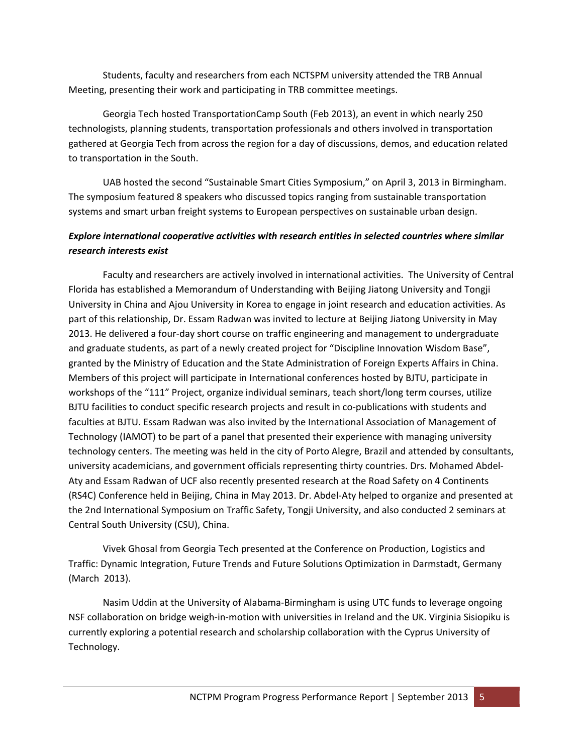Students, faculty and researchers from each NCTSPM university attended the TRB Annual Meeting, presenting their work and participating in TRB committee meetings.

Georgia Tech hosted TransportationCamp South (Feb 2013), an event in which nearly 250 technologists, planning students, transportation professionals and others involved in transportation gathered at Georgia Tech from across the region for a day of discussions, demos, and education related to transportation in the South.

UAB hosted the second "Sustainable Smart Cities Symposium," on April 3, 2013 in Birmingham. The symposium featured 8 speakers who discussed topics ranging from sustainable transportation systems and smart urban freight systems to European perspectives on sustainable urban design.

### *Explore international cooperative activities with research entities in selected countries where similar research interests exist*

Faculty and researchers are actively involved in international activities. The University of Central Florida has established a Memorandum of Understanding with Beijing Jiatong University and Tongji University in China and Ajou University in Korea to engage in joint research and education activities. As part of this relationship, Dr. Essam Radwan was invited to lecture at Beijing Jiatong University in May 2013. He delivered a four‐day short course on traffic engineering and management to undergraduate and graduate students, as part of a newly created project for "Discipline Innovation Wisdom Base", granted by the Ministry of Education and the State Administration of Foreign Experts Affairs in China. Members of this project will participate in International conferences hosted by BJTU, participate in workshops of the "111" Project, organize individual seminars, teach short/long term courses, utilize BJTU facilities to conduct specific research projects and result in co-publications with students and faculties at BJTU. Essam Radwan was also invited by the International Association of Management of Technology (IAMOT) to be part of a panel that presented their experience with managing university technology centers. The meeting was held in the city of Porto Alegre, Brazil and attended by consultants, university academicians, and government officials representing thirty countries. Drs. Mohamed Abdel‐ Aty and Essam Radwan of UCF also recently presented research at the Road Safety on 4 Continents (RS4C) Conference held in Beijing, China in May 2013. Dr. Abdel‐Aty helped to organize and presented at the 2nd International Symposium on Traffic Safety, Tongji University, and also conducted 2 seminars at Central South University (CSU), China.

Vivek Ghosal from Georgia Tech presented at the Conference on Production, Logistics and Traffic: Dynamic Integration, Future Trends and Future Solutions Optimization in Darmstadt, Germany (March 2013).

Nasim Uddin at the University of Alabama‐Birmingham is using UTC funds to leverage ongoing NSF collaboration on bridge weigh‐in‐motion with universities in Ireland and the UK. Virginia Sisiopiku is currently exploring a potential research and scholarship collaboration with the Cyprus University of Technology.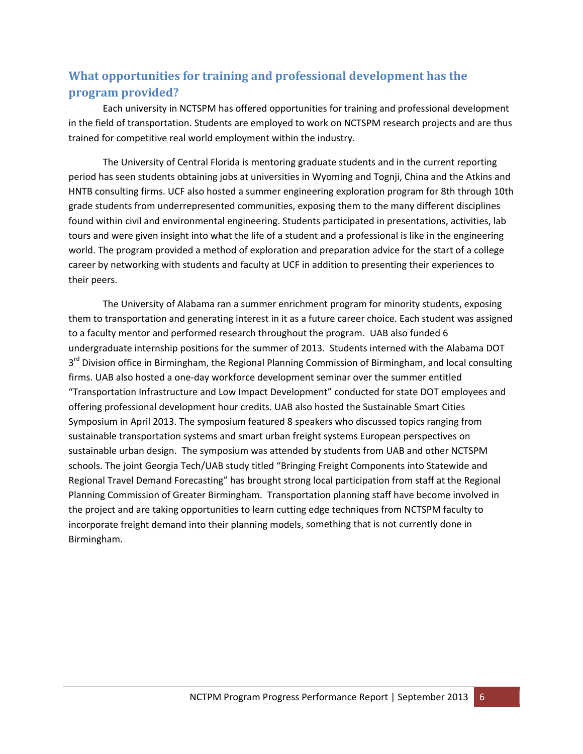# **What opportunities for training and professional development has the program provided?**

Each university in NCTSPM has offered opportunities for training and professional development in the field of transportation. Students are employed to work on NCTSPM research projects and are thus trained for competitive real world employment within the industry.

The University of Central Florida is mentoring graduate students and in the current reporting period has seen students obtaining jobs at universities in Wyoming and Tognji, China and the Atkins and HNTB consulting firms. UCF also hosted a summer engineering exploration program for 8th through 10th grade students from underrepresented communities, exposing them to the many different disciplines found within civil and environmental engineering. Students participated in presentations, activities, lab tours and were given insight into what the life of a student and a professional is like in the engineering world. The program provided a method of exploration and preparation advice for the start of a college career by networking with students and faculty at UCF in addition to presenting their experiences to their peers.

The University of Alabama ran a summer enrichment program for minority students, exposing them to transportation and generating interest in it as a future career choice. Each student was assigned to a faculty mentor and performed research throughout the program. UAB also funded 6 undergraduate internship positions for the summer of 2013. Students interned with the Alabama DOT 3<sup>rd</sup> Division office in Birmingham, the Regional Planning Commission of Birmingham, and local consulting firms. UAB also hosted a one‐day workforce development seminar over the summer entitled "Transportation Infrastructure and Low Impact Development" conducted for state DOT employees and offering professional development hour credits. UAB also hosted the Sustainable Smart Cities Symposium in April 2013. The symposium featured 8 speakers who discussed topics ranging from sustainable transportation systems and smart urban freight systems European perspectives on sustainable urban design. The symposium was attended by students from UAB and other NCTSPM schools. The joint Georgia Tech/UAB study titled "Bringing Freight Components into Statewide and Regional Travel Demand Forecasting" has brought strong local participation from staff at the Regional Planning Commission of Greater Birmingham. Transportation planning staff have become involved in the project and are taking opportunities to learn cutting edge techniques from NCTSPM faculty to incorporate freight demand into their planning models, something that is not currently done in Birmingham.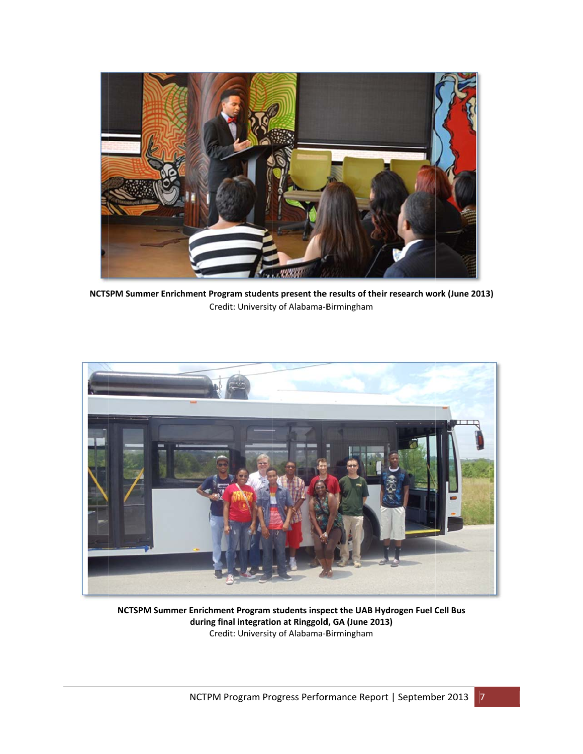

NCTSPM Summer Enrichment Program students present the results of their research work (June 2013) Cr edit: Universit y of Alabama‐B Birmingham



**NCTSPM Su mmer Enrichm ment Program students inspe ect the UAB Hy ydrogen Fuel C Cell Bus during final integratio on at Ringgold d, GA (June 201 13)** Cr edit: Universit y of Alabama‐B Birmingham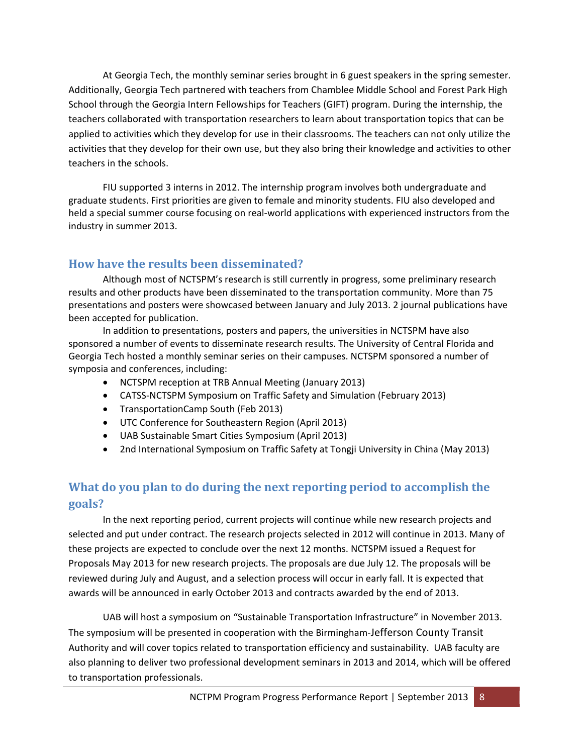At Georgia Tech, the monthly seminar series brought in 6 guest speakers in the spring semester. Additionally, Georgia Tech partnered with teachers from Chamblee Middle School and Forest Park High School through the Georgia Intern Fellowships for Teachers (GIFT) program. During the internship, the teachers collaborated with transportation researchers to learn about transportation topics that can be applied to activities which they develop for use in their classrooms. The teachers can not only utilize the activities that they develop for their own use, but they also bring their knowledge and activities to other teachers in the schools.

FIU supported 3 interns in 2012. The internship program involves both undergraduate and graduate students. First priorities are given to female and minority students. FIU also developed and held a special summer course focusing on real‐world applications with experienced instructors from the industry in summer 2013.

## **How have the results been disseminated?**

Although most of NCTSPM's research is still currently in progress, some preliminary research results and other products have been disseminated to the transportation community. More than 75 presentations and posters were showcased between January and July 2013. 2 journal publications have been accepted for publication.

In addition to presentations, posters and papers, the universities in NCTSPM have also sponsored a number of events to disseminate research results. The University of Central Florida and Georgia Tech hosted a monthly seminar series on their campuses. NCTSPM sponsored a number of symposia and conferences, including:

- NCTSPM reception at TRB Annual Meeting (January 2013)
- CATSS‐NCTSPM Symposium on Traffic Safety and Simulation (February 2013)
- TransportationCamp South (Feb 2013)
- UTC Conference for Southeastern Region (April 2013)
- UAB Sustainable Smart Cities Symposium (April 2013)
- 2nd International Symposium on Traffic Safety at Tongji University in China (May 2013)

## **What do you plan to do during the next reporting period to accomplish the goals?**

In the next reporting period, current projects will continue while new research projects and selected and put under contract. The research projects selected in 2012 will continue in 2013. Many of these projects are expected to conclude over the next 12 months. NCTSPM issued a Request for Proposals May 2013 for new research projects. The proposals are due July 12. The proposals will be reviewed during July and August, and a selection process will occur in early fall. It is expected that awards will be announced in early October 2013 and contracts awarded by the end of 2013.

UAB will host a symposium on "Sustainable Transportation Infrastructure" in November 2013. The symposium will be presented in cooperation with the Birmingham‐Jefferson County Transit Authority and will cover topics related to transportation efficiency and sustainability. UAB faculty are also planning to deliver two professional development seminars in 2013 and 2014, which will be offered to transportation professionals.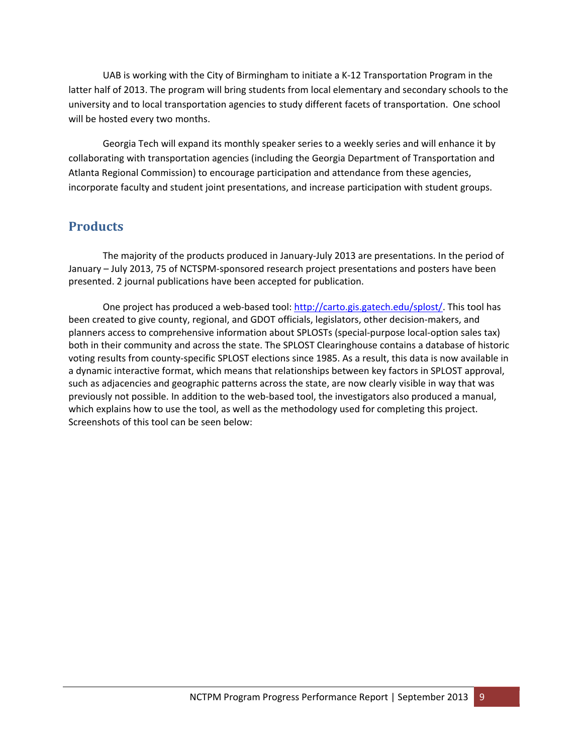UAB is working with the City of Birmingham to initiate a K‐12 Transportation Program in the latter half of 2013. The program will bring students from local elementary and secondary schools to the university and to local transportation agencies to study different facets of transportation. One school will be hosted every two months.

Georgia Tech will expand its monthly speaker series to a weekly series and will enhance it by collaborating with transportation agencies (including the Georgia Department of Transportation and Atlanta Regional Commission) to encourage participation and attendance from these agencies, incorporate faculty and student joint presentations, and increase participation with student groups.

## **Products**

The majority of the products produced in January‐July 2013 are presentations. In the period of January – July 2013, 75 of NCTSPM‐sponsored research project presentations and posters have been presented. 2 journal publications have been accepted for publication.

One project has produced a web-based tool: http://carto.gis.gatech.edu/splost/. This tool has been created to give county, regional, and GDOT officials, legislators, other decision-makers, and planners access to comprehensive information about SPLOSTs (special‐purpose local‐option sales tax) both in their community and across the state. The SPLOST Clearinghouse contains a database of historic voting results from county‐specific SPLOST elections since 1985. As a result, this data is now available in a dynamic interactive format, which means that relationships between key factors in SPLOST approval, such as adjacencies and geographic patterns across the state, are now clearly visible in way that was previously not possible. In addition to the web‐based tool, the investigators also produced a manual, which explains how to use the tool, as well as the methodology used for completing this project. Screenshots of this tool can be seen below: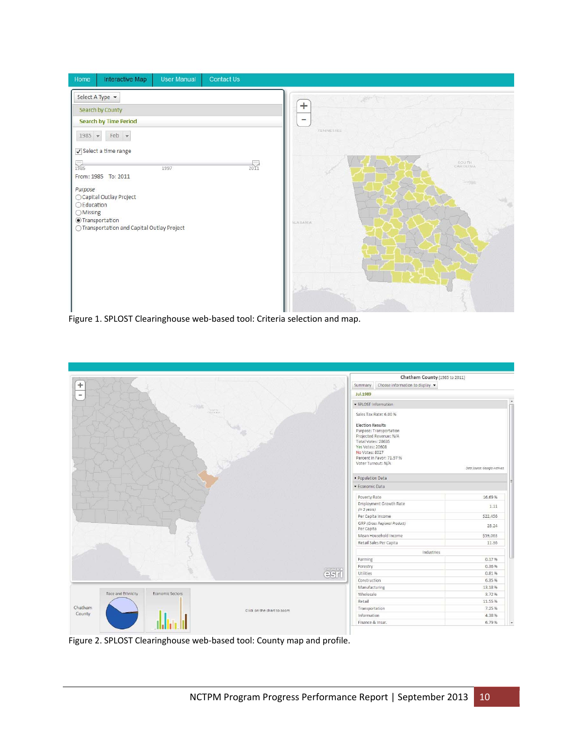

Figure 1. SPLOST Clearinghouse web‐based tool: Criteria selection and map.



Figure 2. SPLOST Clearinghouse web‐based tool: County map and profile.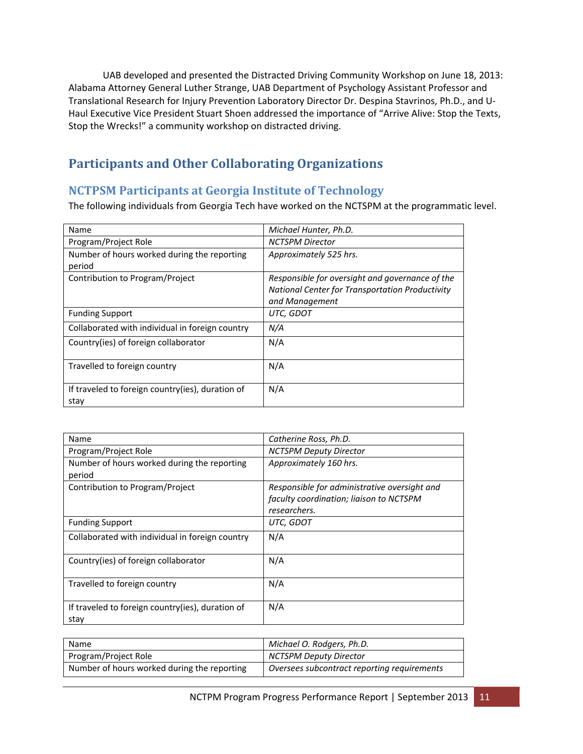UAB developed and presented the Distracted Driving Community Workshop on June 18, 2013: Alabama Attorney General Luther Strange, UAB Department of Psychology Assistant Professor and Translational Research for Injury Prevention Laboratory Director Dr. Despina Stavrinos, Ph.D., and U‐ Haul Executive Vice President Stuart Shoen addressed the importance of "Arrive Alive: Stop the Texts, Stop the Wrecks!" a community workshop on distracted driving.

# **Participants and Other Collaborating Organizations**

### **NCTPSM Participants at Georgia Institute of Technology**

The following individuals from Georgia Tech have worked on the NCTSPM at the programmatic level.

| Name                                             | Michael Hunter, Ph.D.                                  |
|--------------------------------------------------|--------------------------------------------------------|
| Program/Project Role                             | <b>NCTSPM Director</b>                                 |
| Number of hours worked during the reporting      | Approximately 525 hrs.                                 |
| period                                           |                                                        |
| Contribution to Program/Project                  | Responsible for oversight and governance of the        |
|                                                  | <b>National Center for Transportation Productivity</b> |
|                                                  | and Management                                         |
| <b>Funding Support</b>                           | UTC, GDOT                                              |
| Collaborated with individual in foreign country  | N/A                                                    |
| Country(ies) of foreign collaborator             | N/A                                                    |
|                                                  |                                                        |
| Travelled to foreign country                     | N/A                                                    |
|                                                  |                                                        |
| If traveled to foreign country(ies), duration of | N/A                                                    |
| stay                                             |                                                        |

| Name                                                  | Catherine Ross, Ph.D.                        |
|-------------------------------------------------------|----------------------------------------------|
| Program/Project Role                                  | <b>NCTSPM Deputy Director</b>                |
| Number of hours worked during the reporting<br>period | Approximately 160 hrs.                       |
| Contribution to Program/Project                       | Responsible for administrative oversight and |
|                                                       | faculty coordination; liaison to NCTSPM      |
|                                                       | researchers.                                 |
| <b>Funding Support</b>                                | UTC, GDOT                                    |
| Collaborated with individual in foreign country       | N/A                                          |
| Country(ies) of foreign collaborator                  | N/A                                          |
| Travelled to foreign country                          | N/A                                          |
| If traveled to foreign country(ies), duration of      | N/A                                          |
| stay                                                  |                                              |

| Name                                        | Michael O. Rodgers, Ph.D.                   |
|---------------------------------------------|---------------------------------------------|
| Program/Project Role                        | NCTSPM Deputy Director                      |
| Number of hours worked during the reporting | Oversees subcontract reporting requirements |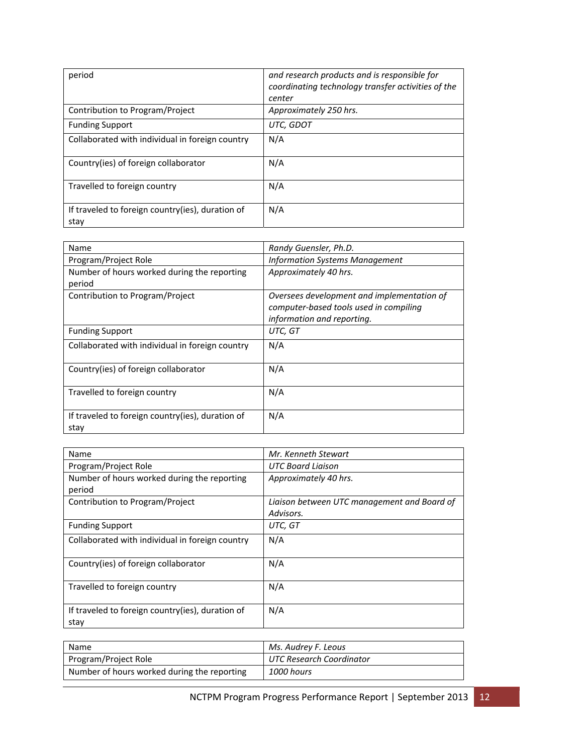| period                                                   | and research products and is responsible for<br>coordinating technology transfer activities of the<br>center |
|----------------------------------------------------------|--------------------------------------------------------------------------------------------------------------|
| Contribution to Program/Project                          | Approximately 250 hrs.                                                                                       |
| <b>Funding Support</b>                                   | UTC, GDOT                                                                                                    |
| Collaborated with individual in foreign country          | N/A                                                                                                          |
| Country(ies) of foreign collaborator                     | N/A                                                                                                          |
| Travelled to foreign country                             | N/A                                                                                                          |
| If traveled to foreign country(ies), duration of<br>stav | N/A                                                                                                          |

| Name                                                     | Randy Guensler, Ph.D.                                                                                              |
|----------------------------------------------------------|--------------------------------------------------------------------------------------------------------------------|
| Program/Project Role                                     | <b>Information Systems Management</b>                                                                              |
| Number of hours worked during the reporting<br>period    | Approximately 40 hrs.                                                                                              |
| Contribution to Program/Project                          | Oversees development and implementation of<br>computer-based tools used in compiling<br>information and reporting. |
| <b>Funding Support</b>                                   | UTC, GT                                                                                                            |
| Collaborated with individual in foreign country          | N/A                                                                                                                |
| Country(ies) of foreign collaborator                     | N/A                                                                                                                |
| Travelled to foreign country                             | N/A                                                                                                                |
| If traveled to foreign country(ies), duration of<br>stay | N/A                                                                                                                |

| Name                                                     | Mr. Kenneth Stewart                         |
|----------------------------------------------------------|---------------------------------------------|
| Program/Project Role                                     | UTC Board Liaison                           |
| Number of hours worked during the reporting              | Approximately 40 hrs.                       |
| period                                                   |                                             |
| Contribution to Program/Project                          | Liaison between UTC management and Board of |
|                                                          | Advisors.                                   |
| <b>Funding Support</b>                                   | UTC, GT                                     |
| Collaborated with individual in foreign country          | N/A                                         |
| Country(ies) of foreign collaborator                     | N/A                                         |
| Travelled to foreign country                             | N/A                                         |
| If traveled to foreign country(ies), duration of<br>stay | N/A                                         |

| Name                                        | Ms. Audrey F. Leous      |
|---------------------------------------------|--------------------------|
| Program/Project Role                        | UTC Research Coordinator |
| Number of hours worked during the reporting | 1000 hours               |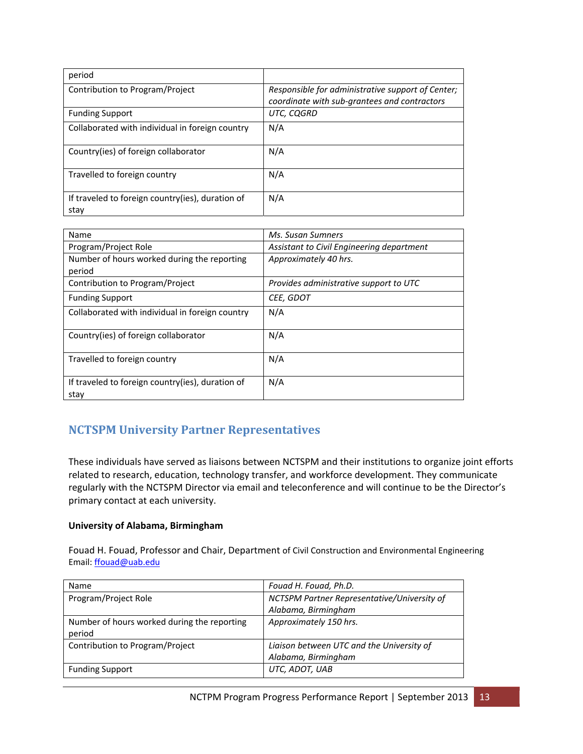| period                                                   |                                                                                                   |
|----------------------------------------------------------|---------------------------------------------------------------------------------------------------|
| Contribution to Program/Project                          | Responsible for administrative support of Center;<br>coordinate with sub-grantees and contractors |
| <b>Funding Support</b>                                   | UTC, CQGRD                                                                                        |
| Collaborated with individual in foreign country          | N/A                                                                                               |
| Country(ies) of foreign collaborator                     | N/A                                                                                               |
| Travelled to foreign country                             | N/A                                                                                               |
| If traveled to foreign country(ies), duration of<br>stay | N/A                                                                                               |

| Name                                             | Ms. Susan Sumners                         |
|--------------------------------------------------|-------------------------------------------|
| Program/Project Role                             | Assistant to Civil Engineering department |
| Number of hours worked during the reporting      | Approximately 40 hrs.                     |
| period                                           |                                           |
| Contribution to Program/Project                  | Provides administrative support to UTC    |
| <b>Funding Support</b>                           | CEE, GDOT                                 |
| Collaborated with individual in foreign country  | N/A                                       |
|                                                  |                                           |
| Country(ies) of foreign collaborator             | N/A                                       |
|                                                  |                                           |
| Travelled to foreign country                     | N/A                                       |
|                                                  |                                           |
| If traveled to foreign country(ies), duration of | N/A                                       |
| stay                                             |                                           |

## **NCTSPM University Partner Representatives**

These individuals have served as liaisons between NCTSPM and their institutions to organize joint efforts related to research, education, technology transfer, and workforce development. They communicate regularly with the NCTSPM Director via email and teleconference and will continue to be the Director's primary contact at each university.

#### **University of Alabama, Birmingham**

Fouad H. Fouad, Professor and Chair, Department of Civil Construction and Environmental Engineering Email: ffouad@uab.edu

| <b>Name</b>                                 | Fouad H. Fouad, Ph.D.                       |
|---------------------------------------------|---------------------------------------------|
| Program/Project Role                        | NCTSPM Partner Representative/University of |
|                                             | Alabama, Birmingham                         |
| Number of hours worked during the reporting | Approximately 150 hrs.                      |
| period                                      |                                             |
| Contribution to Program/Project             | Liaison between UTC and the University of   |
|                                             | Alabama, Birmingham                         |
| <b>Funding Support</b>                      | UTC, ADOT, UAB                              |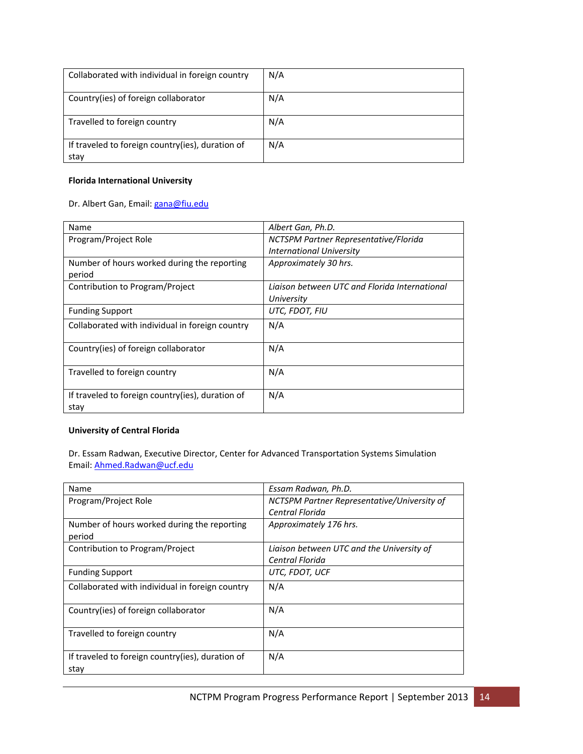| Collaborated with individual in foreign country          | N/A |
|----------------------------------------------------------|-----|
| Country(ies) of foreign collaborator                     | N/A |
| Travelled to foreign country                             | N/A |
| If traveled to foreign country(ies), duration of<br>stay | N/A |

#### **Florida International University**

#### Dr. Albert Gan, Email: gana@fiu.edu

| Name                                                     | Albert Gan, Ph.D.                             |
|----------------------------------------------------------|-----------------------------------------------|
| Program/Project Role                                     | NCTSPM Partner Representative/Florida         |
|                                                          | <b>International University</b>               |
| Number of hours worked during the reporting              | Approximately 30 hrs.                         |
| period                                                   |                                               |
| Contribution to Program/Project                          | Ligison between UTC and Florida International |
|                                                          | University                                    |
| <b>Funding Support</b>                                   | UTC, FDOT, FIU                                |
| Collaborated with individual in foreign country          | N/A                                           |
| Country(ies) of foreign collaborator                     | N/A                                           |
| Travelled to foreign country                             | N/A                                           |
| If traveled to foreign country(ies), duration of<br>stay | N/A                                           |

#### **University of Central Florida**

Dr. Essam Radwan, Executive Director, Center for Advanced Transportation Systems Simulation Email: Ahmed.Radwan@ucf.edu

| Name                                             | Essam Radwan, Ph.D.                         |
|--------------------------------------------------|---------------------------------------------|
| Program/Project Role                             | NCTSPM Partner Representative/University of |
|                                                  | Central Florida                             |
| Number of hours worked during the reporting      | Approximately 176 hrs.                      |
| period                                           |                                             |
| Contribution to Program/Project                  | Liaison between UTC and the University of   |
|                                                  | Central Florida                             |
| <b>Funding Support</b>                           | UTC, FDOT, UCF                              |
| Collaborated with individual in foreign country  | N/A                                         |
|                                                  |                                             |
| Country(ies) of foreign collaborator             | N/A                                         |
|                                                  |                                             |
| Travelled to foreign country                     | N/A                                         |
|                                                  |                                             |
| If traveled to foreign country(ies), duration of | N/A                                         |
| stav                                             |                                             |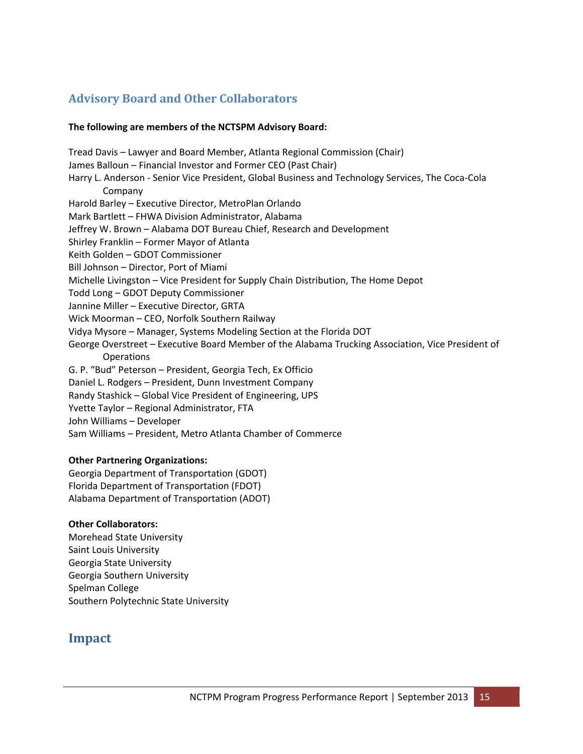## **Advisory Board and Other Collaborators**

#### **The following are members of the NCTSPM Advisory Board:**

Tread Davis – Lawyer and Board Member, Atlanta Regional Commission (Chair) James Balloun – Financial Investor and Former CEO (Past Chair) Harry L. Anderson ‐ Senior Vice President, Global Business and Technology Services, The Coca‐Cola Company Harold Barley – Executive Director, MetroPlan Orlando Mark Bartlett – FHWA Division Administrator, Alabama Jeffrey W. Brown – Alabama DOT Bureau Chief, Research and Development Shirley Franklin – Former Mayor of Atlanta Keith Golden – GDOT Commissioner Bill Johnson – Director, Port of Miami Michelle Livingston – Vice President for Supply Chain Distribution, The Home Depot Todd Long – GDOT Deputy Commissioner Jannine Miller – Executive Director, GRTA Wick Moorman – CEO, Norfolk Southern Railway Vidya Mysore – Manager, Systems Modeling Section at the Florida DOT George Overstreet – Executive Board Member of the Alabama Trucking Association, Vice President of Operations G. P. "Bud" Peterson – President, Georgia Tech, Ex Officio Daniel L. Rodgers – President, Dunn Investment Company Randy Stashick – Global Vice President of Engineering, UPS Yvette Taylor – Regional Administrator, FTA John Williams – Developer Sam Williams – President, Metro Atlanta Chamber of Commerce

#### **Other Partnering Organizations:**

Georgia Department of Transportation (GDOT) Florida Department of Transportation (FDOT) Alabama Department of Transportation (ADOT)

#### **Other Collaborators:**

Morehead State University Saint Louis University Georgia State University Georgia Southern University Spelman College Southern Polytechnic State University

### **Impact**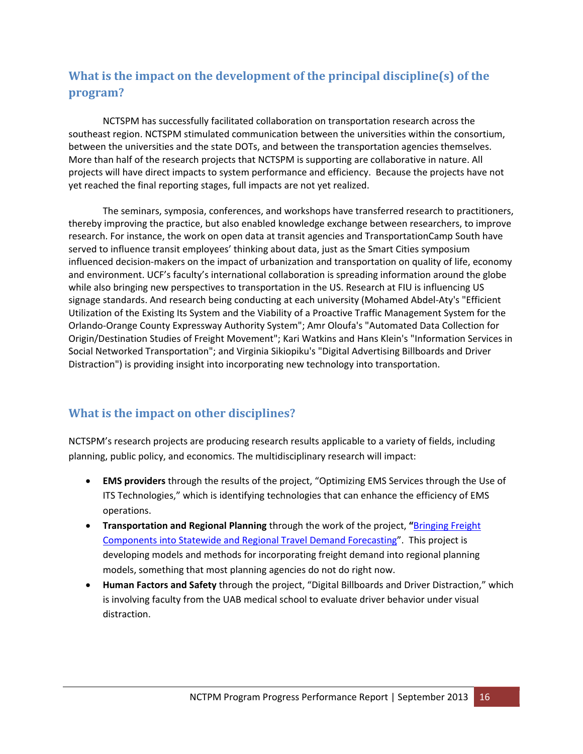# **What is the impact on the development of the principal discipline(s) of the program?**

NCTSPM has successfully facilitated collaboration on transportation research across the southeast region. NCTSPM stimulated communication between the universities within the consortium, between the universities and the state DOTs, and between the transportation agencies themselves. More than half of the research projects that NCTSPM is supporting are collaborative in nature. All projects will have direct impacts to system performance and efficiency. Because the projects have not yet reached the final reporting stages, full impacts are not yet realized.

The seminars, symposia, conferences, and workshops have transferred research to practitioners, thereby improving the practice, but also enabled knowledge exchange between researchers, to improve research. For instance, the work on open data at transit agencies and TransportationCamp South have served to influence transit employees' thinking about data, just as the Smart Cities symposium influenced decision‐makers on the impact of urbanization and transportation on quality of life, economy and environment. UCF's faculty's international collaboration is spreading information around the globe while also bringing new perspectives to transportation in the US. Research at FIU is influencing US signage standards. And research being conducting at each university (Mohamed Abdel‐Aty's "Efficient Utilization of the Existing Its System and the Viability of a Proactive Traffic Management System for the Orlando‐Orange County Expressway Authority System"; Amr Oloufa's "Automated Data Collection for Origin/Destination Studies of Freight Movement"; Kari Watkins and Hans Klein's "Information Services in Social Networked Transportation"; and Virginia Sikiopiku's "Digital Advertising Billboards and Driver Distraction") is providing insight into incorporating new technology into transportation.

## **What is the impact on other disciplines?**

NCTSPM's research projects are producing research results applicable to a variety of fields, including planning, public policy, and economics. The multidisciplinary research will impact:

- **EMS providers** through the results of the project, "Optimizing EMS Services through the Use of ITS Technologies," which is identifying technologies that can enhance the efficiency of EMS operations.
- **Transportation and Regional Planning** through the work of the project, **"**Bringing Freight Components into Statewide and Regional Travel Demand Forecasting". This project is developing models and methods for incorporating freight demand into regional planning models, something that most planning agencies do not do right now.
- **Human Factors and Safety** through the project, "Digital Billboards and Driver Distraction," which is involving faculty from the UAB medical school to evaluate driver behavior under visual distraction.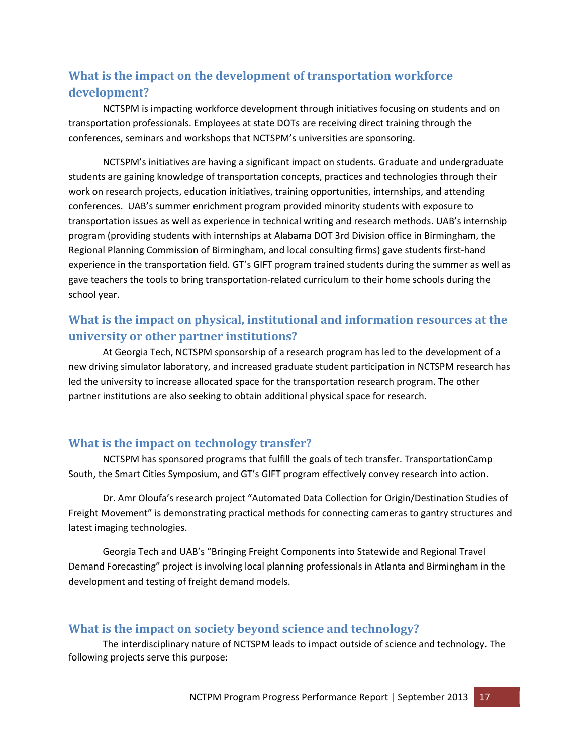## **What is the impact on the development of transportation workforce development?**

NCTSPM is impacting workforce development through initiatives focusing on students and on transportation professionals. Employees at state DOTs are receiving direct training through the conferences, seminars and workshops that NCTSPM's universities are sponsoring.

NCTSPM's initiatives are having a significant impact on students. Graduate and undergraduate students are gaining knowledge of transportation concepts, practices and technologies through their work on research projects, education initiatives, training opportunities, internships, and attending conferences. UAB's summer enrichment program provided minority students with exposure to transportation issues as well as experience in technical writing and research methods. UAB's internship program (providing students with internships at Alabama DOT 3rd Division office in Birmingham, the Regional Planning Commission of Birmingham, and local consulting firms) gave students first‐hand experience in the transportation field. GT's GIFT program trained students during the summer as well as gave teachers the tools to bring transportation‐related curriculum to their home schools during the school year.

## **What is the impact on physical, institutional and information resources at the university or other partner institutions?**

At Georgia Tech, NCTSPM sponsorship of a research program has led to the development of a new driving simulator laboratory, and increased graduate student participation in NCTSPM research has led the university to increase allocated space for the transportation research program. The other partner institutions are also seeking to obtain additional physical space for research.

### **What is the impact on technology transfer?**

NCTSPM has sponsored programs that fulfill the goals of tech transfer. TransportationCamp South, the Smart Cities Symposium, and GT's GIFT program effectively convey research into action.

Dr. Amr Oloufa's research project "Automated Data Collection for Origin/Destination Studies of Freight Movement" is demonstrating practical methods for connecting cameras to gantry structures and latest imaging technologies.

Georgia Tech and UAB's "Bringing Freight Components into Statewide and Regional Travel Demand Forecasting" project is involving local planning professionals in Atlanta and Birmingham in the development and testing of freight demand models.

### **What is the impact on society beyond science and technology?**

The interdisciplinary nature of NCTSPM leads to impact outside of science and technology. The following projects serve this purpose: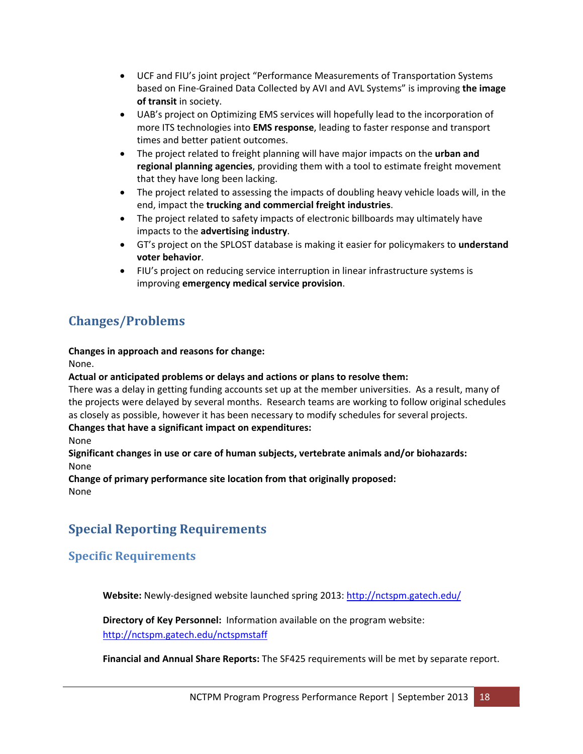- UCF and FIU's joint project "Performance Measurements of Transportation Systems based on Fine‐Grained Data Collected by AVI and AVL Systems" is improving **the image of transit** in society.
- UAB's project on Optimizing EMS services will hopefully lead to the incorporation of more ITS technologies into **EMS response**, leading to faster response and transport times and better patient outcomes.
- The project related to freight planning will have major impacts on the **urban and regional planning agencies**, providing them with a tool to estimate freight movement that they have long been lacking.
- The project related to assessing the impacts of doubling heavy vehicle loads will, in the end, impact the **trucking and commercial freight industries**.
- The project related to safety impacts of electronic billboards may ultimately have impacts to the **advertising industry**.
- GT's project on the SPLOST database is making it easier for policymakers to **understand voter behavior**.
- FIU's project on reducing service interruption in linear infrastructure systems is improving **emergency medical service provision**.

# **Changes/Problems**

**Changes in approach and reasons for change:** 

None.

#### **Actual or anticipated problems or delays and actions or plans to resolve them:**

There was a delay in getting funding accounts set up at the member universities. As a result, many of the projects were delayed by several months. Research teams are working to follow original schedules as closely as possible, however it has been necessary to modify schedules for several projects.

#### **Changes that have a significant impact on expenditures:**

None

#### **Significant changes in use or care of human subjects, vertebrate animals and/or biohazards:**  None

**Change of primary performance site location from that originally proposed:** None

# **Special Reporting Requirements**

## **Specific Requirements**

**Website:** Newly‐designed website launched spring 2013: http://nctspm.gatech.edu/

**Directory of Key Personnel:** Information available on the program website: http://nctspm.gatech.edu/nctspmstaff

**Financial and Annual Share Reports:** The SF425 requirements will be met by separate report.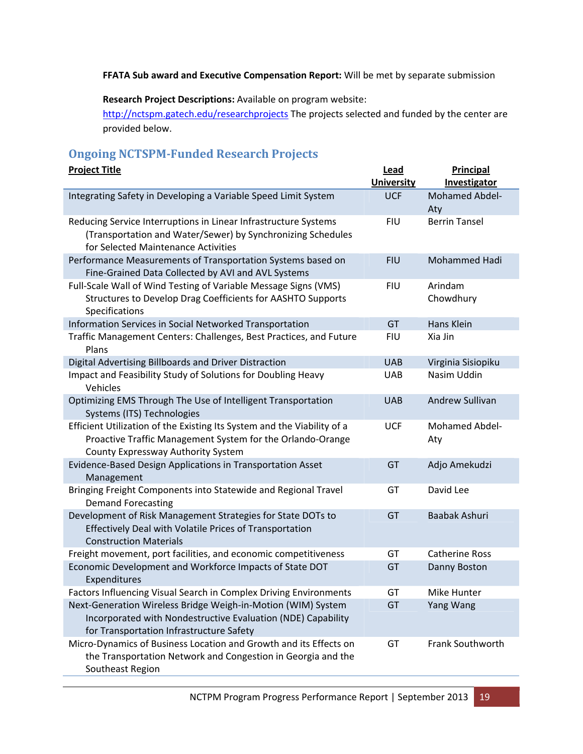#### **FFATA Sub award and Executive Compensation Report:** Will be met by separate submission

**Research Project Descriptions:** Available on program website:

http://nctspm.gatech.edu/researchprojects The projects selected and funded by the center are provided below.

## **Ongoing NCTSPM‐Funded Research Projects**

| <b>Project Title</b>                                                                                                                                                        | Lead<br><b>University</b> | <b>Principal</b><br>Investigator |
|-----------------------------------------------------------------------------------------------------------------------------------------------------------------------------|---------------------------|----------------------------------|
| Integrating Safety in Developing a Variable Speed Limit System                                                                                                              | <b>UCF</b>                | Mohamed Abdel-<br>Aty            |
| Reducing Service Interruptions in Linear Infrastructure Systems<br>(Transportation and Water/Sewer) by Synchronizing Schedules<br>for Selected Maintenance Activities       | <b>FIU</b>                | <b>Berrin Tansel</b>             |
| Performance Measurements of Transportation Systems based on<br>Fine-Grained Data Collected by AVI and AVL Systems                                                           | <b>FIU</b>                | Mohammed Hadi                    |
| Full-Scale Wall of Wind Testing of Variable Message Signs (VMS)<br>Structures to Develop Drag Coefficients for AASHTO Supports<br>Specifications                            | <b>FIU</b>                | Arindam<br>Chowdhury             |
| Information Services in Social Networked Transportation                                                                                                                     | GT                        | Hans Klein                       |
| Traffic Management Centers: Challenges, Best Practices, and Future<br>Plans                                                                                                 | <b>FIU</b>                | Xia Jin                          |
| Digital Advertising Billboards and Driver Distraction                                                                                                                       | <b>UAB</b>                | Virginia Sisiopiku               |
| Impact and Feasibility Study of Solutions for Doubling Heavy<br>Vehicles                                                                                                    | <b>UAB</b>                | Nasim Uddin                      |
| Optimizing EMS Through The Use of Intelligent Transportation<br>Systems (ITS) Technologies                                                                                  | <b>UAB</b>                | <b>Andrew Sullivan</b>           |
| Efficient Utilization of the Existing Its System and the Viability of a<br>Proactive Traffic Management System for the Orlando-Orange<br>County Expressway Authority System | <b>UCF</b>                | Mohamed Abdel-<br>Aty            |
| Evidence-Based Design Applications in Transportation Asset<br>Management                                                                                                    | GT                        | Adjo Amekudzi                    |
| Bringing Freight Components into Statewide and Regional Travel<br><b>Demand Forecasting</b>                                                                                 | GT                        | David Lee                        |
| Development of Risk Management Strategies for State DOTs to<br>Effectively Deal with Volatile Prices of Transportation<br><b>Construction Materials</b>                     | GT                        | Baabak Ashuri                    |
| Freight movement, port facilities, and economic competitiveness                                                                                                             | GT                        | <b>Catherine Ross</b>            |
| Economic Development and Workforce Impacts of State DOT<br>Expenditures                                                                                                     | GT                        | Danny Boston                     |
| Factors Influencing Visual Search in Complex Driving Environments                                                                                                           | GТ                        | Mike Hunter                      |
| Next-Generation Wireless Bridge Weigh-in-Motion (WIM) System<br>Incorporated with Nondestructive Evaluation (NDE) Capability<br>for Transportation Infrastructure Safety    | GT                        | Yang Wang                        |
| Micro-Dynamics of Business Location and Growth and its Effects on<br>the Transportation Network and Congestion in Georgia and the<br>Southeast Region                       | GT                        | Frank Southworth                 |